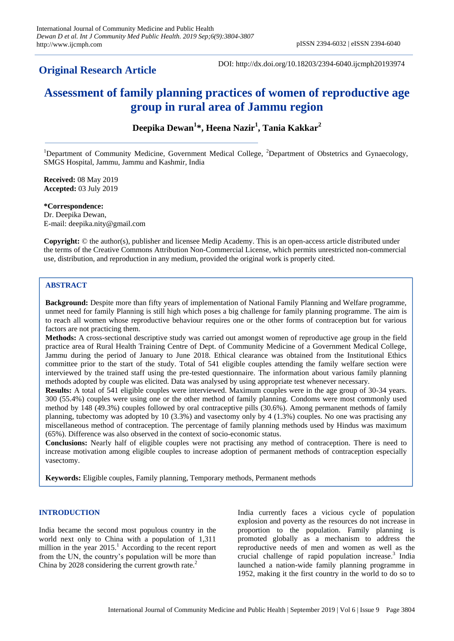# **Original Research Article**

DOI: http://dx.doi.org/10.18203/2394-6040.ijcmph20193974

# **Assessment of family planning practices of women of reproductive age group in rural area of Jammu region**

**Deepika Dewan<sup>1</sup> \*, Heena Nazir<sup>1</sup> , Tania Kakkar<sup>2</sup>**

<sup>1</sup>Department of Community Medicine, Government Medical College, <sup>2</sup>Department of Obstetrics and Gynaecology, SMGS Hospital, Jammu, Jammu and Kashmir, India

**Received:** 08 May 2019 **Accepted:** 03 July 2019

**\*Correspondence:** Dr. Deepika Dewan, E-mail: [deepika.nity@gmail.com](mailto:deepika.nity@gmail.com)

**Copyright:** © the author(s), publisher and licensee Medip Academy. This is an open-access article distributed under the terms of the Creative Commons Attribution Non-Commercial License, which permits unrestricted non-commercial use, distribution, and reproduction in any medium, provided the original work is properly cited.

# **ABSTRACT**

**Background:** Despite more than fifty years of implementation of National Family Planning and Welfare programme, unmet need for family Planning is still high which poses a big challenge for family planning programme. The aim is to reach all women whose reproductive behaviour requires one or the other forms of contraception but for various factors are not practicing them.

**Methods:** A cross-sectional descriptive study was carried out amongst women of reproductive age group in the field practice area of Rural Health Training Centre of Dept. of Community Medicine of a Government Medical College, Jammu during the period of January to June 2018. Ethical clearance was obtained from the Institutional Ethics committee prior to the start of the study. Total of 541 eligible couples attending the family welfare section were interviewed by the trained staff using the pre-tested questionnaire. The information about various family planning methods adopted by couple was elicited. Data was analysed by using appropriate test whenever necessary.

**Results:** A total of 541 eligible couples were interviewed. Maximum couples were in the age group of 30-34 years. 300 (55.4%) couples were using one or the other method of family planning. Condoms were most commonly used method by 148 (49.3%) couples followed by oral contraceptive pills (30.6%). Among permanent methods of family planning, tubectomy was adopted by 10 (3.3%) and vasectomy only by 4 (1.3%) couples. No one was practising any miscellaneous method of contraception. The percentage of family planning methods used by Hindus was maximum (65%). Difference was also observed in the context of socio-economic status.

**Conclusions:** Nearly half of eligible couples were not practising any method of contraception. There is need to increase motivation among eligible couples to increase adoption of permanent methods of contraception especially vasectomy.

**Keywords:** Eligible couples, Family planning, Temporary methods, Permanent methods

# **INTRODUCTION**

India became the second most populous country in the world next only to China with a population of 1,311 million in the year  $2015<sup>1</sup>$ . According to the recent report from the UN, the country's population will be more than China by 2028 considering the current growth rate.<sup>2</sup>

India currently faces a vicious cycle of population explosion and poverty as the resources do not increase in proportion to the population. Family planning is promoted globally as a mechanism to address the reproductive needs of men and women as well as the crucial challenge of rapid population increase.<sup>3</sup> India launched a nation-wide family planning programme in 1952, making it the first country in the world to do so to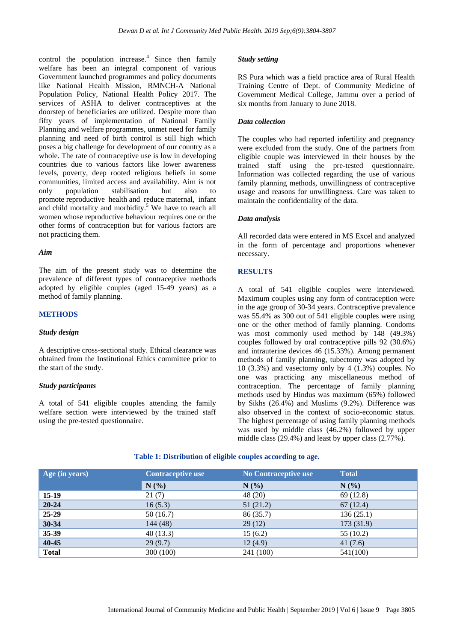control the population increase. $\frac{4}{3}$  Since then family welfare has been an integral component of various Government launched programmes and policy documents like National Health Mission, RMNCH-A National Population Policy, National Health Policy 2017. The services of ASHA to deliver contraceptives at the doorstep of beneficiaries are utilized. Despite more than fifty years of implementation of National Family Planning and welfare programmes, unmet need for family planning and need of birth control is still high which poses a big challenge for development of our country as a whole. The rate of contraceptive use is low in developing countries due to various factors like lower awareness levels, poverty, deep rooted religious beliefs in some communities, limited access and availability. Aim is not only population stabilisation but also to promote reproductive health and reduce maternal, infant and child mortality and morbidity.<sup>5</sup> We have to reach all women whose reproductive behaviour requires one or the other forms of contraception but for various factors are not practicing them.

# *Aim*

The aim of the present study was to determine the prevalence of different types of contraceptive methods adopted by eligible couples (aged 15-49 years) as a method of family planning.

# **METHODS**

#### *Study design*

A descriptive cross-sectional study. Ethical clearance was obtained from the Institutional Ethics committee prior to the start of the study.

#### *Study participants*

A total of 541 eligible couples attending the family welfare section were interviewed by the trained staff using the pre-tested questionnaire.

#### *Study setting*

RS Pura which was a field practice area of Rural Health Training Centre of Dept. of Community Medicine of Government Medical College, Jammu over a period of six months from January to June 2018.

#### *Data collection*

The couples who had reported infertility and pregnancy were excluded from the study. One of the partners from eligible couple was interviewed in their houses by the trained staff using the pre-tested questionnaire. Information was collected regarding the use of various family planning methods, unwillingness of contraceptive usage and reasons for unwillingness. Care was taken to maintain the confidentiality of the data.

#### *Data analysis*

All recorded data were entered in MS Excel and analyzed in the form of percentage and proportions whenever necessary.

## **RESULTS**

A total of 541 eligible couples were interviewed. Maximum couples using any form of contraception were in the age group of 30-34 years. Contraceptive prevalence was 55.4% as 300 out of 541 eligible couples were using one or the other method of family planning. Condoms was most commonly used method by 148 (49.3%) couples followed by oral contraceptive pills 92 (30.6%) and intrauterine devices 46 (15.33%). Among permanent methods of family planning, tubectomy was adopted by 10 (3.3%) and vasectomy only by 4 (1.3%) couples. No one was practicing any miscellaneous method of contraception. The percentage of family planning methods used by Hindus was maximum (65%) followed by Sikhs (26.4%) and Muslims (9.2%). Difference was also observed in the context of socio-economic status. The highest percentage of using family planning methods was used by middle class (46.2%) followed by upper middle class (29.4%) and least by upper class (2.77%).

|  | Table 1: Distribution of eligible couples according to age. |
|--|-------------------------------------------------------------|
|--|-------------------------------------------------------------|

| Age (in years) | <b>Contraceptive use</b> | No Contraceptive use | <b>Total</b> |
|----------------|--------------------------|----------------------|--------------|
|                | N(%                      | N(%)                 | N(%)         |
| $15-19$        | 21(7)                    | 48 (20)              | 69(12.8)     |
| $20 - 24$      | 16(5.3)                  | 51(21.2)             | 67(12.4)     |
| 25-29          | 50(16.7)                 | 86 (35.7)            | 136(25.1)    |
| 30-34          | 144 (48)                 | 29(12)               | 173 (31.9)   |
| 35-39          | 40(13.3)                 | 15(6.2)              | 55(10.2)     |
| 40-45          | 29(9.7)                  | 12(4.9)              | 41(7.6)      |
| <b>Total</b>   | 300 (100)                | 241 (100)            | 541(100)     |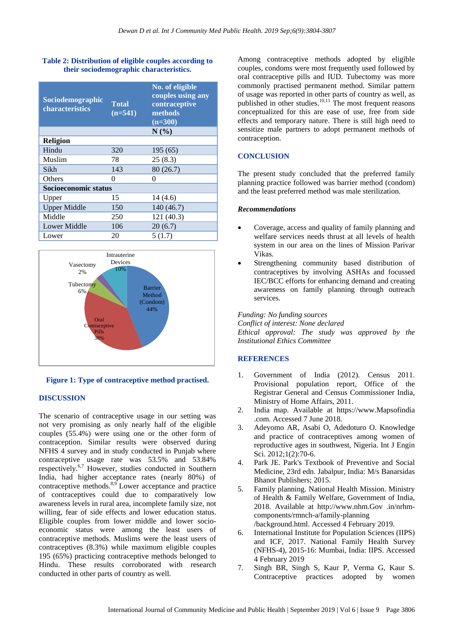# **Table 2: Distribution of eligible couples according to their sociodemographic characteristics.**

| Sociodemographic<br>characteristics | Total<br>$(n=541)$ | No. of eligible<br>couples using any<br>contraceptive<br>methods<br>$\overline{n} = 300$ |  |  |
|-------------------------------------|--------------------|------------------------------------------------------------------------------------------|--|--|
|                                     |                    | N(%)                                                                                     |  |  |
| <b>Religion</b>                     |                    |                                                                                          |  |  |
| Hindu                               | 320                | 195(65)                                                                                  |  |  |
| Muslim                              | 78                 | 25(8.3)                                                                                  |  |  |
| Sikh                                | 143                | 80(26.7)                                                                                 |  |  |
| Others                              | 0                  | 0                                                                                        |  |  |
| Socioeconomic status                |                    |                                                                                          |  |  |
| Upper                               | 15                 | 14(4.6)                                                                                  |  |  |
| <b>Upper Middle</b>                 | 150                | 140 (46.7)                                                                               |  |  |
| Middle                              | 250                | 121(40.3)                                                                                |  |  |
| <b>Lower Middle</b>                 | 106                | 20(6.7)                                                                                  |  |  |
| Lower                               | 20                 | 5(1.7)                                                                                   |  |  |





# **DISCUSSION**

The scenario of contraceptive usage in our setting was not very promising as only nearly half of the eligible couples (55.4%) were using one or the other form of contraception. Similar results were observed during NFHS 4 survey and in study conducted in Punjab where contraceptive usage rate was 53.5% and 53.84% respectively. 6,7 However, studies conducted in Southern India, had higher acceptance rates (nearly 80%) of contraceptive methods.<sup>8,9</sup> Lower acceptance and practice of contraceptives could due to comparatively low awareness levels in rural area, incomplete family size, not willing, fear of side effects and lower education status. Eligible couples from lower middle and lower socioeconomic status were among the least users of contraceptive methods. Muslims were the least users of contraceptives (8.3%) while maximum eligible couples 195 (65%) practicing contraceptive methods belonged to Hindu. These results corroborated with research conducted in other parts of country as well.

Among contraceptive methods adopted by eligible couples, condoms were most frequently used followed by oral contraceptive pills and IUD. Tubectomy was more commonly practised permanent method. Similar pattern of usage was reported in other parts of country as well, as published in other studies. $10,11$  The most frequent reasons conceptualized for this are ease of use, free from side effects and temporary nature. There is still high need to sensitize male partners to adopt permanent methods of contraception.

# **CONCLUSION**

The present study concluded that the preferred family planning practice followed was barrier method (condom) and the least preferred method was male sterilization.

#### *Recommendations*

- Coverage, access and quality of family planning and welfare services needs thrust at all levels of health system in our area on the lines of Mission Parivar Vikas.
- Strengthening community based distribution of contraceptives by involving ASHAs and focussed IEC/BCC efforts for enhancing demand and creating awareness on family planning through outreach services.

*Funding: No funding sources Conflict of interest: None declared Ethical approval: The study was approved by the Institutional Ethics Committee*

#### **REFERENCES**

- 1. Government of India (2012). Census 2011. Provisional population report, Office of the Registrar General and Census Commissioner India, Ministry of Home Affairs, 2011.
- 2. India map. Available at [https://www.](https://www/)Mapsofindia .com. Accessed 7 June 2018.
- 3. Adeyomo AR, Asabi O, Adedoturo O. Knowledge and practice of contraceptives among women of reproductive ages in southwest, Nigeria. Int J Engin Sci. 2012;1(2):70-6.
- 4. Park JE. Park's Textbook of Preventive and Social Medicine, 23rd edn. Jabalpur, India: M/s Banarsidas Bhanot Publishers; 2015.
- 5. Family planning. National Health Mission. Ministry of Health & Family Welfare, Government of India, 2018. Available at [http://www.nhm.](http://www.nhm/)Gov .in/nrhmcomponents/rmnch-a/family-planning /background.html. Accessed 4 February 2019.
- 6. International Institute for Population Sciences (IIPS) and ICF, 2017. National Family Health Survey (NFHS-4), 2015-16: Mumbai, India: IIPS. Accessed 4 February 2019
- 7. Singh BR, Singh S, Kaur P, Verma G, Kaur S. Contraceptive practices adopted by women